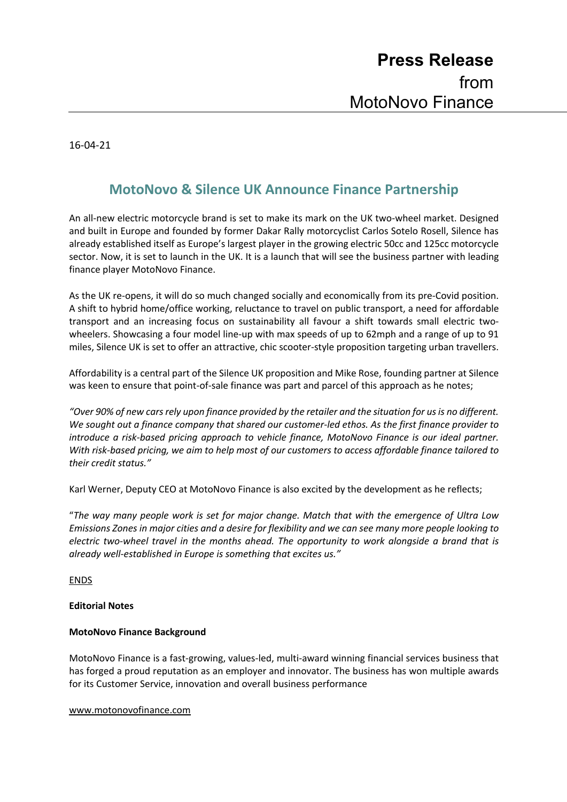16-04-21

## **MotoNovo & Silence UK Announce Finance Partnership**

An all-new electric motorcycle brand is set to make its mark on the UK two-wheel market. Designed and built in Europe and founded by former Dakar Rally motorcyclist Carlos Sotelo Rosell, Silence has already established itself as Europe's largest player in the growing electric 50cc and 125cc motorcycle sector. Now, it is set to launch in the UK. It is a launch that will see the business partner with leading finance player MotoNovo Finance.

As the UK re-opens, it will do so much changed socially and economically from its pre-Covid position. A shift to hybrid home/office working, reluctance to travel on public transport, a need for affordable transport and an increasing focus on sustainability all favour a shift towards small electric twowheelers. Showcasing a four model line-up with max speeds of up to 62mph and a range of up to 91 miles, Silence UK is set to offer an attractive, chic scooter-style proposition targeting urban travellers.

Affordability is a central part of the Silence UK proposition and Mike Rose, founding partner at Silence was keen to ensure that point-of-sale finance was part and parcel of this approach as he notes;

*"Over 90% of new cars rely upon finance provided by the retailer and the situation for us is no different. We sought out a finance company that shared our customer-led ethos. As the first finance provider to introduce a risk-based pricing approach to vehicle finance, MotoNovo Finance is our ideal partner. With risk-based pricing, we aim to help most of our customers to access affordable finance tailored to their credit status."*

Karl Werner, Deputy CEO at MotoNovo Finance is also excited by the development as he reflects;

"*The way many people work is set for major change. Match that with the emergence of Ultra Low Emissions Zones in major cities and a desire for flexibility and we can see many more people looking to electric two-wheel travel in the months ahead. The opportunity to work alongside a brand that is already well-established in Europe is something that excites us."*

ENDS

## **Editorial Notes**

## **MotoNovo Finance Background**

MotoNovo Finance is a fast-growing, values-led, multi-award winning financial services business that has forged a proud reputation as an employer and innovator. The business has won multiple awards for its Customer Service, innovation and overall business performance

www.motonovofinance.com